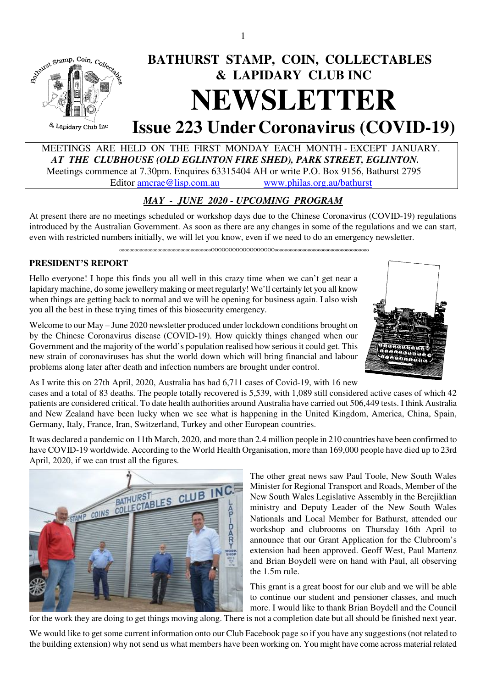

# MEETINGS ARE HELD ON THE FIRST MONDAY EACH MONTH - EXCEPT JANUARY.  *AT THE CLUBHOUSE (OLD EGLINTON FIRE SHED), PARK STREET, EGLINTON.*

Meetings commence at 7.30pm. Enquires 63315404 AH or write P.O. Box 9156, Bathurst 2795

Editor amcrae@lisp.com.au www.philas.org.au/bathurst

# *MAY - JUNE 2020 - UPCOMING PROGRAM*

At present there are no meetings scheduled or workshop days due to the Chinese Coronavirus (COVID-19) regulations introduced by the Australian Government. As soon as there are any changes in some of the regulations and we can start, even with restricted numbers initially, we will let you know, even if we need to do an emergency newsletter.

ooooooooooooooooooooooooooooooooooooOOOOOOOOOOOOOOOOOOooooooooooooooooooooooooooooooooooooo

## **PRESIDENT'S REPORT**

Hello everyone! I hope this finds you all well in this crazy time when we can't get near a lapidary machine, do some jewellery making or meet regularly! We'll certainly let you all know when things are getting back to normal and we will be opening for business again. I also wish you all the best in these trying times of this biosecurity emergency.

Welcome to our May – June 2020 newsletter produced under lockdown conditions brought on by the Chinese Coronavirus disease (COVID-19). How quickly things changed when our Government and the majority of the world's population realised how serious it could get. This new strain of coronaviruses has shut the world down which will bring financial and labour problems along later after death and infection numbers are brought under control.



As I write this on 27th April, 2020, Australia has had 6,711 cases of Covid-19, with 16 new

cases and a total of 83 deaths. The people totally recovered is 5,539, with 1,089 still considered active cases of which 42 patients are considered critical. To date health authorities around Australia have carried out 506,449 tests. I think Australia and New Zealand have been lucky when we see what is happening in the United Kingdom, America, China, Spain, Germany, Italy, France, Iran, Switzerland, Turkey and other European countries.

It was declared a pandemic on 11th March, 2020, and more than 2.4 million people in 210 countries have been confirmed to have COVID-19 worldwide. According to the World Health Organisation, more than 169,000 people have died up to 23rd April, 2020, if we can trust all the figures.



The other great news saw Paul Toole, New South Wales Minister for Regional Transport and Roads, Member of the New South Wales Legislative Assembly in the Berejiklian ministry and Deputy Leader of the New South Wales Nationals and Local Member for Bathurst, attended our workshop and clubrooms on Thursday 16th April to announce that our Grant Application for the Clubroom's extension had been approved. Geoff West, Paul Martenz and Brian Boydell were on hand with Paul, all observing the 1.5m rule.

This grant is a great boost for our club and we will be able to continue our student and pensioner classes, and much more. I would like to thank Brian Boydell and the Council

for the work they are doing to get things moving along. There is not a completion date but all should be finished next year.

We would like to get some current information onto our Club Facebook page so if you have any suggestions (not related to the building extension) why not send us what members have been working on. You might have come across material related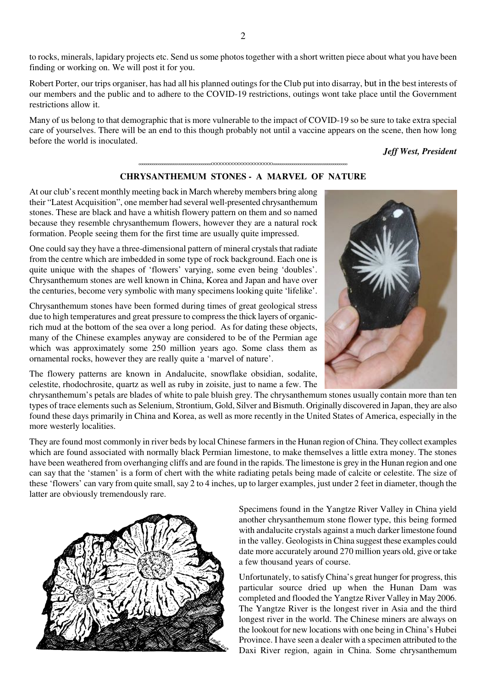to rocks, minerals, lapidary projects etc. Send us some photos together with a short written piece about what you have been finding or working on. We will post it for you.

Robert Porter, our trips organiser, has had all his planned outings for the Club put into disarray, but in the best interests of our members and the public and to adhere to the COVID-19 restrictions, outings wont take place until the Government restrictions allow it.

Many of us belong to that demographic that is more vulnerable to the impact of COVID-19 so be sure to take extra special care of yourselves. There will be an end to this though probably not until a vaccine appears on the scene, then how long before the world is inoculated.

#### *Jeff West, President*

### oooooooooooooooooooooooooooooooooooooOOOOOOOOOOOOOOOOOOOOOoooooooooooooooooooooooooooooooooooooo **CHRYSANTHEMUM STONES - A MARVEL OF NATURE**

At our club's recent monthly meeting back in March whereby members bring along their "Latest Acquisition", one member had several well-presented chrysanthemum stones. These are black and have a whitish flowery pattern on them and so named because they resemble chrysanthemum flowers, however they are a natural rock formation. People seeing them for the first time are usually quite impressed.

One could say they have a three-dimensional pattern of mineral crystals that radiate from the centre which are imbedded in some type of rock background. Each one is quite unique with the shapes of 'flowers' varying, some even being 'doubles'. Chrysanthemum stones are well known in China, Korea and Japan and have over the centuries, become very symbolic with many specimens looking quite 'lifelike'.

Chrysanthemum stones have been formed during times of great geological stress due to high temperatures and great pressure to compress the thick layers of organicrich mud at the bottom of the sea over a long period. As for dating these objects, many of the Chinese examples anyway are considered to be of the Permian age which was approximately some 250 million years ago. Some class them as ornamental rocks, however they are really quite a 'marvel of nature'.

The flowery patterns are known in Andalucite, snowflake obsidian, sodalite, celestite, rhodochrosite, quartz as well as ruby in zoisite, just to name a few. The



chrysanthemum's petals are blades of white to pale bluish grey. The chrysanthemum stones usually contain more than ten types of trace elements such as Selenium, Strontium, Gold, Silver and Bismuth. Originally discovered in Japan, they are also found these days primarily in China and Korea, as well as more recently in the United States of America, especially in the more westerly localities.

They are found most commonly in river beds by local Chinese farmers in the Hunan region of China. They collect examples which are found associated with normally black Permian limestone, to make themselves a little extra money. The stones have been weathered from overhanging cliffs and are found in the rapids. The limestone is grey in the Hunan region and one can say that the 'stamen' is a form of chert with the white radiating petals being made of calcite or celestite. The size of these 'flowers' can vary from quite small, say 2 to 4 inches, up to larger examples, just under 2 feet in diameter, though the latter are obviously tremendously rare.



Specimens found in the Yangtze River Valley in China yield another chrysanthemum stone flower type, this being formed with andalucite crystals against a much darker limestone found in the valley. Geologists in China suggest these examples could date more accurately around 270 million years old, give or take a few thousand years of course.

Unfortunately, to satisfy China's great hunger for progress, this particular source dried up when the Hunan Dam was completed and flooded the Yangtze River Valley in May 2006. The Yangtze River is the longest river in Asia and the third longest river in the world. The Chinese miners are always on the lookout for new locations with one being in China's Hubei Province. I have seen a dealer with a specimen attributed to the Daxi River region, again in China. Some chrysanthemum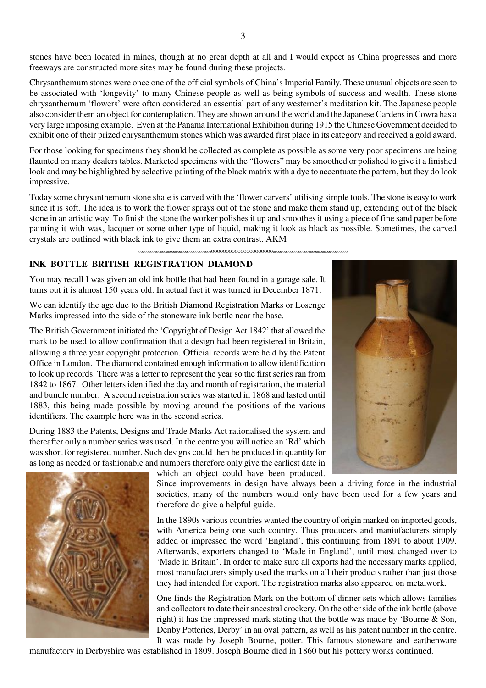stones have been located in mines, though at no great depth at all and I would expect as China progresses and more freeways are constructed more sites may be found during these projects. .

Chrysanthemum stones were once one of the official symbols of China's Imperial Family. These unusual objects are seen to be associated with 'longevity' to many Chinese people as well as being symbols of success and wealth. These stone chrysanthemum 'flowers' were often considered an essential part of any westerner's meditation kit. The Japanese people also consider them an object for contemplation. They are shown around the world and the Japanese Gardens in Cowra has a very large imposing example. Even at the Panama International Exhibition during 1915 the Chinese Government decided to exhibit one of their prized chrysanthemum stones which was awarded first place in its category and received a gold award.

For those looking for specimens they should be collected as complete as possible as some very poor specimens are being flaunted on many dealers tables. Marketed specimens with the "flowers" may be smoothed or polished to give it a finished look and may be highlighted by selective painting of the black matrix with a dye to accentuate the pattern, but they do look impressive.

Today some chrysanthemum stone shale is carved with the 'flower carvers' utilising simple tools. The stone is easy to work since it is soft. The idea is to work the flower sprays out of the stone and make them stand up, extending out of the black stone in an artistic way. To finish the stone the worker polishes it up and smoothes it using a piece of fine sand paper before painting it with wax, lacquer or some other type of liquid, making it look as black as possible. Sometimes, the carved crystals are outlined with black ink to give them an extra contrast. AKM

oooooooooooooooooooooooooooooooooooooOOOOOOOOOOOOOOOOOOOOOoooooooooooooooooooooooooooooooooooooo

#### **INK BOTTLE BRITISH REGISTRATION DIAMOND**

You may recall I was given an old ink bottle that had been found in a garage sale. It turns out it is almost 150 years old. In actual fact it was turned in December 1871.

We can identify the age due to the British Diamond Registration Marks or Losenge Marks impressed into the side of the stoneware ink bottle near the base.

The British Government initiated the 'Copyright of Design Act 1842' that allowed the mark to be used to allow confirmation that a design had been registered in Britain, allowing a three year copyright protection. Official records were held by the Patent Office in London. The diamond contained enough information to allow identification to look up records. There was a letter to represent the year so the first series ran from 1842 to 1867. Other letters identified the day and month of registration, the material and bundle number. A second registration series was started in 1868 and lasted until 1883, this being made possible by moving around the positions of the various identifiers. The example here was in the second series.

During 1883 the Patents, Designs and Trade Marks Act rationalised the system and thereafter only a number series was used. In the centre you will notice an 'Rd' which was short for registered number. Such designs could then be produced in quantity for as long as needed or fashionable and numbers therefore only give the earliest date in

which an object could have been produced.

Since improvements in design have always been a driving force in the industrial societies, many of the numbers would only have been used for a few years and therefore do give a helpful guide.

In the 1890s various countries wanted the country of origin marked on imported goods, with America being one such country. Thus producers and maniufacturers simply added or impressed the word 'England', this continuing from 1891 to about 1909. Afterwards, exporters changed to 'Made in England', until most changed over to 'Made in Britain'. In order to make sure all exports had the necessary marks applied, most manufacturers simply used the marks on all their products rather than just those they had intended for export. The registration marks also appeared on metalwork.

One finds the Registration Mark on the bottom of dinner sets which allows families and collectors to date their ancestral crockery. On the other side of the ink bottle (above right) it has the impressed mark stating that the bottle was made by 'Bourne & Son, Denby Potteries, Derby' in an oval pattern, as well as his patent number in the centre. It was made by Joseph Bourne, potter. This famous stoneware and earthenware

manufactory in Derbyshire was established in 1809. Joseph Bourne died in 1860 but his pottery works continued.



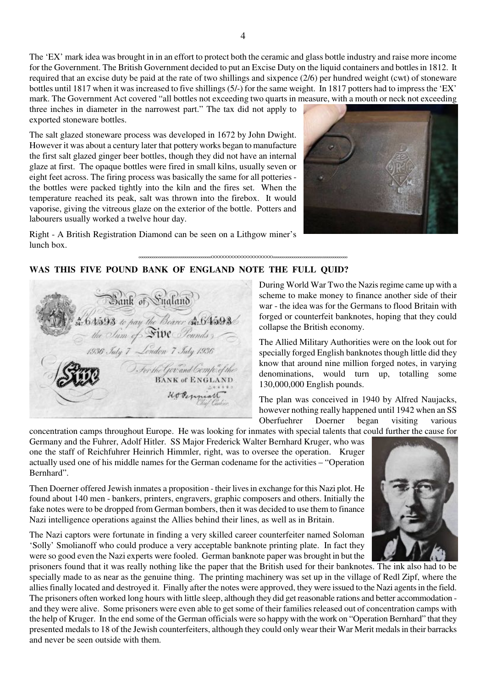oooooooooooooooooooooooooooooooooooooOOOOOOOOOOOOOOOOOOOOOoooooooooooooooooooooooooooooooooooooo

mark. The Government Act covered "all bottles not exceeding two quarts in measure, with a mouth or neck not exceeding three inches in diameter in the narrowest part." The tax did not apply to exported stoneware bottles.

The salt glazed stoneware process was developed in 1672 by John Dwight. However it was about a century later that pottery works began to manufacture the first salt glazed ginger beer bottles, though they did not have an internal glaze at first. The opaque bottles were fired in small kilns, usually seven or eight feet across. The firing process was basically the same for all potteries the bottles were packed tightly into the kiln and the fires set. When the temperature reached its peak, salt was thrown into the firebox. It would vaporise, giving the vitreous glaze on the exterior of the bottle. Potters and labourers usually worked a twelve hour day.



Right - A British Registration Diamond can be seen on a Lithgow miner's lunch box.

**WAS THIS FIVE POUND BANK OF ENGLAND NOTE THE FULL QUID?** 

Bank of Sugland (6 1593 to pay the Bearer A. 6 1593)<br>- the Sum of SWC Pounds)<br>- 1936 July 7 - London 7 Iuly 1936 J. For the Govand Cempo of the Hodennian

During World War Two the Nazis regime came up with a scheme to make money to finance another side of their war - the idea was for the Germans to flood Britain with forged or counterfeit banknotes, hoping that they could collapse the British economy.

The Allied Military Authorities were on the look out for specially forged English banknotes though little did they know that around nine million forged notes, in varying denominations, would turn up, totalling some 130,000,000 English pounds.

The plan was conceived in 1940 by Alfred Naujacks, however nothing really happened until 1942 when an SS<br>Oberfuehrer Doerner began visiting various Oberfuehrer Doerner began visiting various

concentration camps throughout Europe. He was looking for inmates with special talents that could further the cause for Germany and the Fuhrer, Adolf Hitler. SS Major Frederick Walter Bernhard Kruger, who was one the staff of Reichfuhrer Heinrich Himmler, right, was to oversee the operation. Kruger actually used one of his middle names for the German codename for the activities – "Operation Bernhard".

Then Doerner offered Jewish inmates a proposition - their lives in exchange for this Nazi plot. He found about 140 men - bankers, printers, engravers, graphic composers and others. Initially the fake notes were to be dropped from German bombers, then it was decided to use them to finance Nazi intelligence operations against the Allies behind their lines, as well as in Britain.

The Nazi captors were fortunate in finding a very skilled career counterfeiter named Soloman 'Solly' Smolianoff who could produce a very acceptable banknote printing plate. In fact they were so good even the Nazi experts were fooled. German banknote paper was brought in but the

prisoners found that it was really nothing like the paper that the British used for their banknotes. The ink also had to be specially made to as near as the genuine thing. The printing machinery was set up in the village of Redl Zipf, where the allies finally located and destroyed it. Finally after the notes were approved, they were issued to the Nazi agents in the field. The prisoners often worked long hours with little sleep, although they did get reasonable rations and better accommodation and they were alive. Some prisoners were even able to get some of their families released out of concentration camps with the help of Kruger. In the end some of the German officials were so happy with the work on "Operation Bernhard" that they presented medals to 18 of the Jewish counterfeiters, although they could only wear their War Merit medals in their barracks and never be seen outside with them.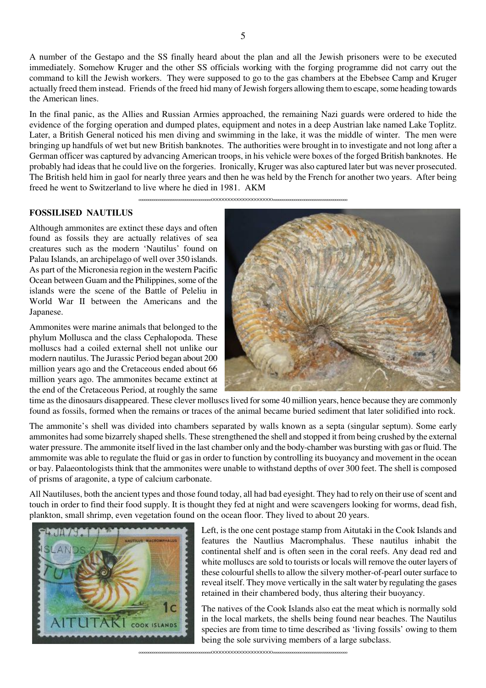A number of the Gestapo and the SS finally heard about the plan and all the Jewish prisoners were to be executed immediately. Somehow Kruger and the other SS officials working with the forging programme did not carry out the command to kill the Jewish workers. They were supposed to go to the gas chambers at the Ebebsee Camp and Kruger actually freed them instead. Friends of the freed hid many of Jewish forgers allowing them to escape, some heading towards the American lines.

In the final panic, as the Allies and Russian Armies approached, the remaining Nazi guards were ordered to hide the evidence of the forging operation and dumped plates, equipment and notes in a deep Austrian lake named Lake Toplitz. Later, a British General noticed his men diving and swimming in the lake, it was the middle of winter. The men were bringing up handfuls of wet but new British banknotes. The authorities were brought in to investigate and not long after a German officer was captured by advancing American troops, in his vehicle were boxes of the forged British banknotes. He probably had ideas that he could live on the forgeries. Ironically, Kruger was also captured later but was never prosecuted. The British held him in gaol for nearly three years and then he was held by the French for another two years. After being freed he went to Switzerland to live where he died in 1981. AKM

oooooooooooooooooooooooooooooooooooooOOOOOOOOOOOOOOOOOOOOOoooooooooooooooooooooooooooooooooooooo

#### **FOSSILISED NAUTILUS**

Although ammonites are extinct these days and often found as fossils they are actually relatives of sea creatures such as the modern 'Nautilus' found on Palau Islands, an archipelago of well over 350 islands. As part of the Micronesia region in the western Pacific Ocean between Guam and the Philippines, some of the islands were the scene of the Battle of Peleliu in World War II between the Americans and the Japanese.

Ammonites were marine animals that belonged to the phylum Mollusca and the class Cephalopoda. These molluscs had a coiled external shell not unlike our modern nautilus. The Jurassic Period began about 200 million years ago and the Cretaceous ended about 66 million years ago. The ammonites became extinct at the end of the Cretaceous Period, at roughly the same



time as the dinosaurs disappeared. These clever molluscs lived for some 40 million years, hence because they are commonly found as fossils, formed when the remains or traces of the animal became buried sediment that later solidified into rock.

The ammonite's shell was divided into chambers separated by walls known as a septa (singular septum). Some early ammonites had some bizarrely shaped shells. These strengthened the shell and stopped it from being crushed by the external water pressure. The ammonite itself lived in the last chamber only and the body-chamber was bursting with gas or fluid. The ammomite was able to regulate the fluid or gas in order to function by controlling its buoyancy and movement in the ocean or bay. Palaeontologists think that the ammonites were unable to withstand depths of over 300 feet. The shell is composed of prisms of aragonite, a type of calcium carbonate.

All Nautiluses, both the ancient types and those found today, all had bad eyesight. They had to rely on their use of scent and touch in order to find their food supply. It is thought they fed at night and were scavengers looking for worms, dead fish, plankton, small shrimp, even vegetation found on the ocean floor. They lived to about 20 years.



Left, is the one cent postage stamp from Aitutaki in the Cook Islands and features the Nautlius Macromphalus. These nautilus inhabit the continental shelf and is often seen in the coral reefs. Any dead red and white molluscs are sold to tourists or locals will remove the outer layers of these colourful shells to allow the silvery mother-of-pearl outer surface to reveal itself. They move vertically in the salt water by regulating the gases retained in their chambered body, thus altering their buoyancy.

The natives of the Cook Islands also eat the meat which is normally sold in the local markets, the shells being found near beaches. The Nautilus species are from time to time described as 'living fossils' owing to them being the sole surviving members of a large subclass.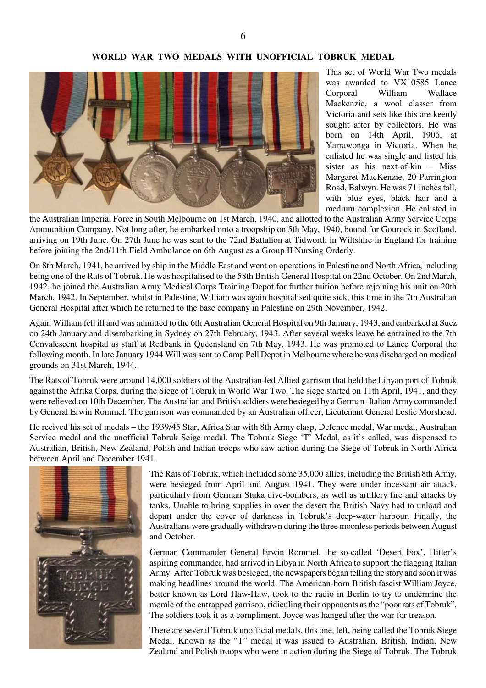#### **WORLD WAR TWO MEDALS WITH UNOFFICIAL TOBRUK MEDAL**



This set of World War Two medals was awarded to VX10585 Lance Corporal William Wallace Mackenzie, a wool classer from Victoria and sets like this are keenly sought after by collectors. He was born on 14th April, 1906, at Yarrawonga in Victoria. When he enlisted he was single and listed his sister as his next-of-kin – Miss Margaret MacKenzie, 20 Parrington Road, Balwyn. He was 71 inches tall, with blue eyes, black hair and a medium complexion. He enlisted in

the Australian Imperial Force in South Melbourne on 1st March, 1940, and allotted to the Australian Army Service Corps Ammunition Company. Not long after, he embarked onto a troopship on 5th May, 1940, bound for Gourock in Scotland, arriving on 19th June. On 27th June he was sent to the 72nd Battalion at Tidworth in Wiltshire in England for training before joining the 2nd/11th Field Ambulance on 6th August as a Group II Nursing Orderly.

On 8th March, 1941, he arrived by ship in the Middle East and went on operations in Palestine and North Africa, including being one of the Rats of Tobruk. He was hospitalised to the 58th British General Hospital on 22nd October. On 2nd March, 1942, he joined the Australian Army Medical Corps Training Depot for further tuition before rejoining his unit on 20th March, 1942. In September, whilst in Palestine, William was again hospitalised quite sick, this time in the 7th Australian General Hospital after which he returned to the base company in Palestine on 29th November, 1942.

Again William fell ill and was admitted to the 6th Australian General Hospital on 9th January, 1943, and embarked at Suez on 24th January and disembarking in Sydney on 27th February, 1943. After several weeks leave he entrained to the 7th Convalescent hospital as staff at Redbank in Queensland on 7th May, 1943. He was promoted to Lance Corporal the following month. In late January 1944 Will was sent to Camp Pell Depot in Melbourne where he was discharged on medical grounds on 31st March, 1944.

The Rats of Tobruk were around 14,000 soldiers of the Australian-led Allied garrison that held the Libyan port of Tobruk against the Afrika Corps, during the Siege of Tobruk in World War Two. The siege started on 11th April, 1941, and they were relieved on 10th December. The Australian and British soldiers were besieged by a German–Italian Army commanded by General Erwin Rommel. The garrison was commanded by an Australian officer, Lieutenant General Leslie Morshead.

He recived his set of medals – the 1939/45 Star, Africa Star with 8th Army clasp, Defence medal, War medal, Australian Service medal and the unofficial Tobruk Seige medal. The Tobruk Siege 'T' Medal, as it's called, was dispensed to Australian, British, New Zealand, Polish and Indian troops who saw action during the Siege of Tobruk in North Africa between April and December 1941.



The Rats of Tobruk, which included some 35,000 allies, including the British 8th Army, were besieged from April and August 1941. They were under incessant air attack, particularly from German Stuka dive-bombers, as well as artillery fire and attacks by tanks. Unable to bring supplies in over the desert the British Navy had to unload and depart under the cover of darkness in Tobruk's deep-water harbour. Finally, the Australians were gradually withdrawn during the three moonless periods between August and October.

German Commander General Erwin Rommel, the so-called 'Desert Fox', Hitler's aspiring commander, had arrived in Libya in North Africa to support the flagging Italian Army. After Tobruk was besieged, the newspapers began telling the story and soon it was making headlines around the world. The American-born British fascist William Joyce, better known as Lord Haw-Haw, took to the radio in Berlin to try to undermine the morale of the entrapped garrison, ridiculing their opponents as the "poor rats of Tobruk". The soldiers took it as a compliment. Joyce was hanged after the war for treason.

There are several Tobruk unofficial medals, this one, left, being called the Tobruk Siege Medal. Known as the "T" medal it was issued to Australian, British, Indian, New Zealand and Polish troops who were in action during the Siege of Tobruk. The Tobruk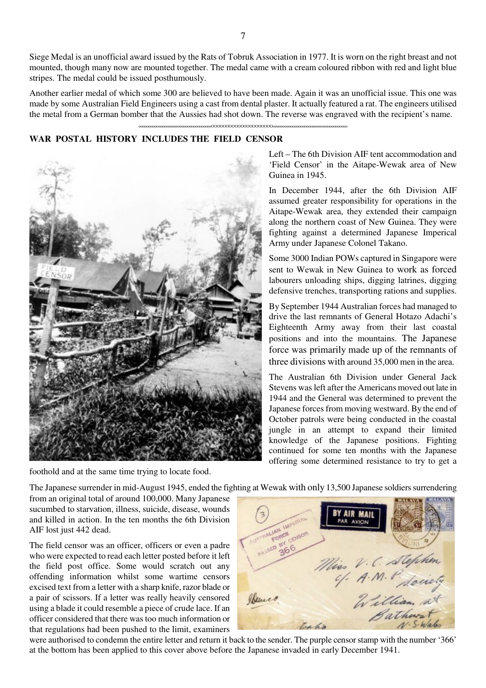Siege Medal is an unofficial award issued by the Rats of Tobruk Association in 1977. It is worn on the right breast and not mounted, though many now are mounted together. The medal came with a cream coloured ribbon with red and light blue stripes. The medal could be issued posthumously.

Another earlier medal of which some 300 are believed to have been made. Again it was an unofficial issue. This one was made by some Australian Field Engineers using a cast from dental plaster. It actually featured a rat. The engineers utilised the metal from a German bomber that the Aussies had shot down. The reverse was engraved with the recipient's name.

oooooooooooooooooooooooooooooooooooooOOOOOOOOOOOOOOOOOOOOOoooooooooooooooooooooooooooooooooooooo

#### **WAR POSTAL HISTORY INCLUDES THE FIELD CENSOR**



foothold and at the same time trying to locate food.

Left – The 6th Division AIF tent accommodation and 'Field Censor' in the Aitape-Wewak area of New Guinea in 1945.

In December 1944, after the 6th Division AIF assumed greater responsibility for operations in the Aitape-Wewak area, they extended their campaign along the northern coast of New Guinea. They were fighting against a determined Japanese Imperical Army under Japanese Colonel Takano.

Some 3000 Indian POWs captured in Singapore were sent to Wewak in New Guinea to work as forced labourers unloading ships, digging latrines, digging defensive trenches, transporting rations and supplies.

By September 1944 Australian forces had managed to drive the last remnants of General Hotazo Adachi's Eighteenth Army away from their last coastal positions and into the mountains. The Japanese force was primarily made up of the remnants of three divisions with around 35,000 men in the area. .

The Australian 6th Division under General Jack Stevens was left after the Americans moved out late in 1944 and the General was determined to prevent the Japanese forces from moving westward. By the end of October patrols were being conducted in the coastal jungle in an attempt to expand their limited knowledge of the Japanese positions. Fighting continued for some ten months with the Japanese offering some determined resistance to try to get a

The Japanese surrender in mid-August 1945, ended the fighting at Wewak with only 13,500 Japanese soldiers surrendering

from an original total of around 100,000. Many Japanese sucumbed to starvation, illness, suicide, disease, wounds and killed in action. In the ten months the 6th Division AIF lost just 442 dead.

The field censor was an officer, officers or even a padre who were expected to read each letter posted before it left the field post office. Some would scratch out any offending information whilst some wartime censors excised text from a letter with a sharp knife, razor blade or a pair of scissors. If a letter was really heavily censored using a blade it could resemble a piece of crude lace. If an officer considered that there was too much information or that regulations had been pushed to the limit, examiners



were authorised to condemn the entire letter and return it back to the sender. The purple censor stamp with the number '366' at the bottom has been applied to this cover above before the Japanese invaded in early December 1941.